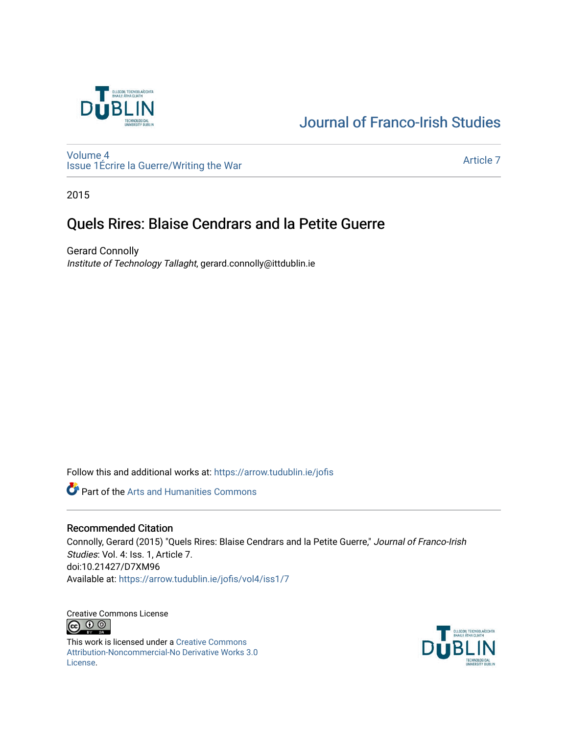

# [Journal of Franco-Irish Studies](https://arrow.tudublin.ie/jofis)

[Volume 4](https://arrow.tudublin.ie/jofis/vol4) [Issue 1](https://arrow.tudublin.ie/jofis/vol4/iss1)Écrire la Guerre/Writing the War [Article 7](https://arrow.tudublin.ie/jofis/vol4/iss1/7) (Service 7 Article 7 (Service 7 Article 7 Article 7 Article 7

2015

# Quels Rires: Blaise Cendrars and la Petite Guerre

Gerard Connolly Institute of Technology Tallaght, gerard.connolly@ittdublin.ie

Follow this and additional works at: [https://arrow.tudublin.ie/jofis](https://arrow.tudublin.ie/jofis?utm_source=arrow.tudublin.ie%2Fjofis%2Fvol4%2Fiss1%2F7&utm_medium=PDF&utm_campaign=PDFCoverPages) 

**Part of the Arts and Humanities Commons** 

## Recommended Citation

Connolly, Gerard (2015) "Quels Rires: Blaise Cendrars and la Petite Guerre," Journal of Franco-Irish Studies: Vol. 4: Iss. 1, Article 7. doi:10.21427/D7XM96 Available at: [https://arrow.tudublin.ie/jofis/vol4/iss1/7](https://arrow.tudublin.ie/jofis/vol4/iss1/7?utm_source=arrow.tudublin.ie%2Fjofis%2Fvol4%2Fiss1%2F7&utm_medium=PDF&utm_campaign=PDFCoverPages) 

Creative Commons License <u>ெ ெ</u>

This work is licensed under a [Creative Commons](https://creativecommons.org/licenses/by-nc-nd/3.0/) [Attribution-Noncommercial-No Derivative Works 3.0](https://creativecommons.org/licenses/by-nc-nd/3.0/) [License.](https://creativecommons.org/licenses/by-nc-nd/3.0/)

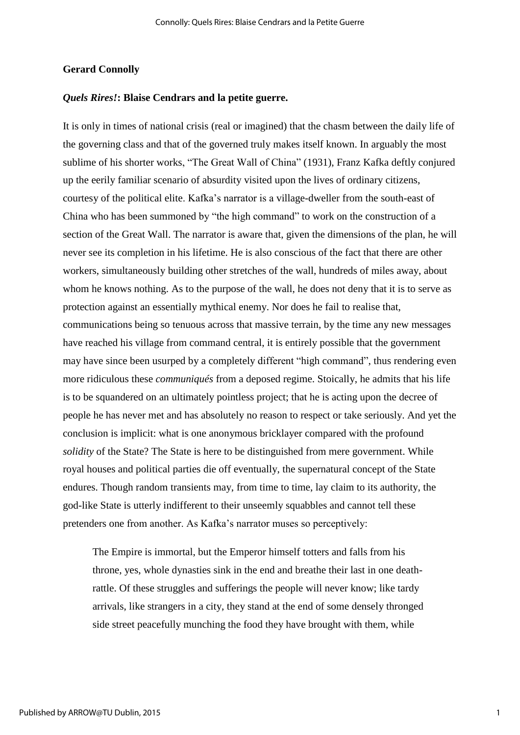### **Gerard Connolly**

### *Quels Rires!***: Blaise Cendrars and la petite guerre.**

It is only in times of national crisis (real or imagined) that the chasm between the daily life of the governing class and that of the governed truly makes itself known. In arguably the most sublime of his shorter works, "The Great Wall of China" (1931), Franz Kafka deftly conjured up the eerily familiar scenario of absurdity visited upon the lives of ordinary citizens, courtesy of the political elite. Kafka's narrator is a village-dweller from the south-east of China who has been summoned by "the high command" to work on the construction of a section of the Great Wall. The narrator is aware that, given the dimensions of the plan, he will never see its completion in his lifetime. He is also conscious of the fact that there are other workers, simultaneously building other stretches of the wall, hundreds of miles away, about whom he knows nothing. As to the purpose of the wall, he does not deny that it is to serve as protection against an essentially mythical enemy. Nor does he fail to realise that, communications being so tenuous across that massive terrain, by the time any new messages have reached his village from command central, it is entirely possible that the government may have since been usurped by a completely different "high command", thus rendering even more ridiculous these *communiqués* from a deposed regime. Stoically, he admits that his life is to be squandered on an ultimately pointless project; that he is acting upon the decree of people he has never met and has absolutely no reason to respect or take seriously. And yet the conclusion is implicit: what is one anonymous bricklayer compared with the profound *solidity* of the State? The State is here to be distinguished from mere government. While royal houses and political parties die off eventually, the supernatural concept of the State endures. Though random transients may, from time to time, lay claim to its authority, the god-like State is utterly indifferent to their unseemly squabbles and cannot tell these pretenders one from another. As Kafka's narrator muses so perceptively:

The Empire is immortal, but the Emperor himself totters and falls from his throne, yes, whole dynasties sink in the end and breathe their last in one deathrattle. Of these struggles and sufferings the people will never know; like tardy arrivals, like strangers in a city, they stand at the end of some densely thronged side street peacefully munching the food they have brought with them, while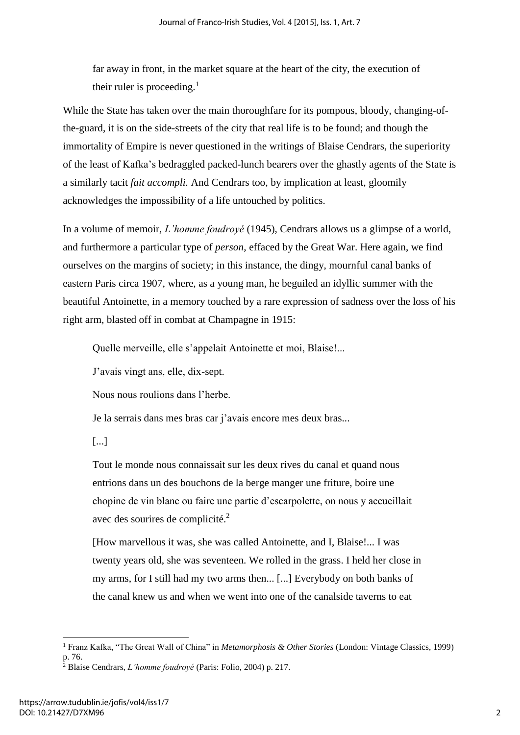far away in front, in the market square at the heart of the city, the execution of their ruler is proceeding. $<sup>1</sup>$ </sup>

While the State has taken over the main thoroughfare for its pompous, bloody, changing-ofthe-guard, it is on the side-streets of the city that real life is to be found; and though the immortality of Empire is never questioned in the writings of Blaise Cendrars, the superiority of the least of Kafka's bedraggled packed-lunch bearers over the ghastly agents of the State is a similarly tacit *fait accompli.* And Cendrars too, by implication at least, gloomily acknowledges the impossibility of a life untouched by politics.

In a volume of memoir, *L'homme foudroyé* (1945), Cendrars allows us a glimpse of a world, and furthermore a particular type of *person*, effaced by the Great War. Here again, we find ourselves on the margins of society; in this instance, the dingy, mournful canal banks of eastern Paris circa 1907, where, as a young man, he beguiled an idyllic summer with the beautiful Antoinette, in a memory touched by a rare expression of sadness over the loss of his right arm, blasted off in combat at Champagne in 1915:

Quelle merveille, elle s'appelait Antoinette et moi, Blaise!...

J'avais vingt ans, elle, dix-sept.

Nous nous roulions dans l'herbe.

Je la serrais dans mes bras car j'avais encore mes deux bras...

[...]

Tout le monde nous connaissait sur les deux rives du canal et quand nous entrions dans un des bouchons de la berge manger une friture, boire une chopine de vin blanc ou faire une partie d'escarpolette, on nous y accueillait avec des sourires de complicité.<sup>2</sup>

[How marvellous it was, she was called Antoinette, and I, Blaise!... I was twenty years old, she was seventeen. We rolled in the grass. I held her close in my arms, for I still had my two arms then... [...] Everybody on both banks of the canal knew us and when we went into one of the canalside taverns to eat

<sup>1</sup> Franz Kafka, "The Great Wall of China" in *Metamorphosis & Other Stories* (London: Vintage Classics, 1999) p. 76.

<sup>2</sup> Blaise Cendrars, *L'homme foudroyé* (Paris: Folio, 2004) p. 217.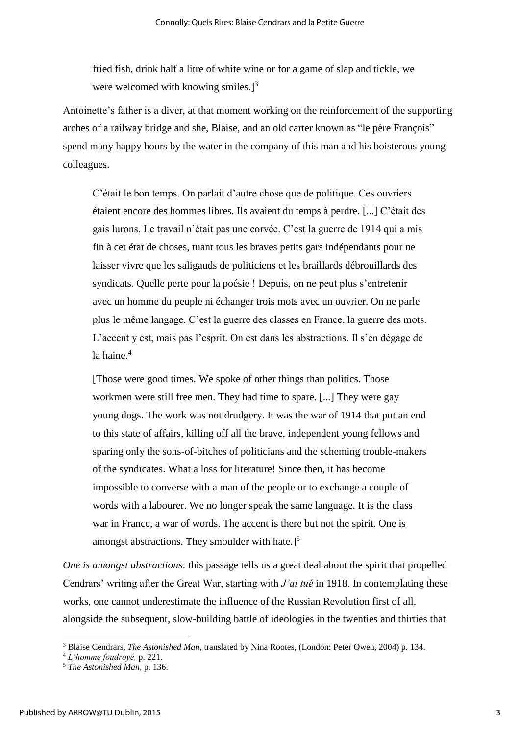fried fish, drink half a litre of white wine or for a game of slap and tickle, we were welcomed with knowing smiles. $]^{3}$ 

Antoinette's father is a diver, at that moment working on the reinforcement of the supporting arches of a railway bridge and she, Blaise, and an old carter known as "le père François" spend many happy hours by the water in the company of this man and his boisterous young colleagues.

C'était le bon temps. On parlait d'autre chose que de politique. Ces ouvriers étaient encore des hommes libres. Ils avaient du temps à perdre. [...] C'était des gais lurons. Le travail n'était pas une corvée. C'est la guerre de 1914 qui a mis fin à cet état de choses, tuant tous les braves petits gars indépendants pour ne laisser vivre que les saligauds de politiciens et les braillards débrouillards des syndicats. Quelle perte pour la poésie ! Depuis, on ne peut plus s'entretenir avec un homme du peuple ni échanger trois mots avec un ouvrier. On ne parle plus le même langage. C'est la guerre des classes en France, la guerre des mots. L'accent y est, mais pas l'esprit. On est dans les abstractions. Il s'en dégage de la haine. $4$ 

[Those were good times. We spoke of other things than politics. Those workmen were still free men. They had time to spare. [...] They were gay young dogs. The work was not drudgery. It was the war of 1914 that put an end to this state of affairs, killing off all the brave, independent young fellows and sparing only the sons-of-bitches of politicians and the scheming trouble-makers of the syndicates. What a loss for literature! Since then, it has become impossible to converse with a man of the people or to exchange a couple of words with a labourer. We no longer speak the same language. It is the class war in France, a war of words. The accent is there but not the spirit. One is amongst abstractions. They smoulder with hate. $]^{5}$ 

*One is amongst abstractions:* this passage tells us a great deal about the spirit that propelled Cendrars' writing after the Great War, starting with *J'ai tué* in 1918. In contemplating these works, one cannot underestimate the influence of the Russian Revolution first of all, alongside the subsequent, slow-building battle of ideologies in the twenties and thirties that

 3 Blaise Cendrars, *The Astonished Man*, translated by Nina Rootes, (London: Peter Owen, 2004) p. 134.

<sup>4</sup> *L'homme foudroyé,* p. 221.

<sup>5</sup> *The Astonished Man*, p. 136.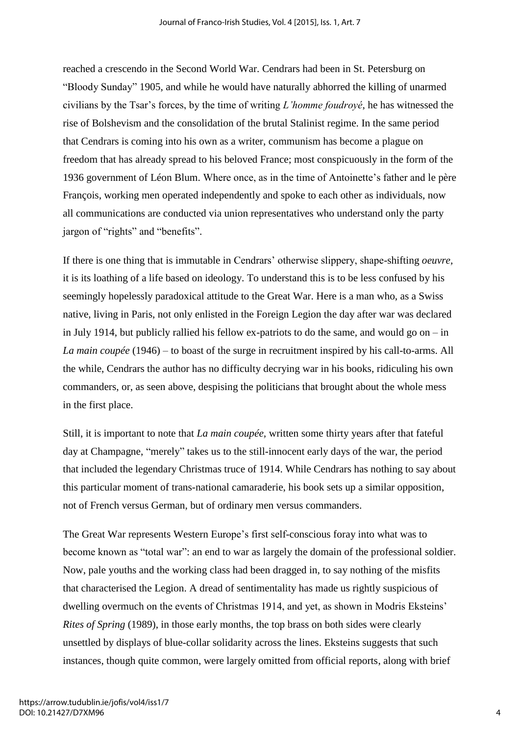reached a crescendo in the Second World War. Cendrars had been in St. Petersburg on "Bloody Sunday" 1905, and while he would have naturally abhorred the killing of unarmed civilians by the Tsar's forces, by the time of writing *L'homme foudroyé*, he has witnessed the rise of Bolshevism and the consolidation of the brutal Stalinist regime. In the same period that Cendrars is coming into his own as a writer, communism has become a plague on freedom that has already spread to his beloved France; most conspicuously in the form of the 1936 government of Léon Blum. Where once, as in the time of Antoinette's father and le père François, working men operated independently and spoke to each other as individuals, now all communications are conducted via union representatives who understand only the party jargon of "rights" and "benefits".

If there is one thing that is immutable in Cendrars' otherwise slippery, shape-shifting *oeuvre,* it is its loathing of a life based on ideology. To understand this is to be less confused by his seemingly hopelessly paradoxical attitude to the Great War. Here is a man who, as a Swiss native, living in Paris, not only enlisted in the Foreign Legion the day after war was declared in July 1914, but publicly rallied his fellow ex-patriots to do the same, and would go on – in *La main coupée* (1946) – to boast of the surge in recruitment inspired by his call-to-arms. All the while, Cendrars the author has no difficulty decrying war in his books, ridiculing his own commanders, or, as seen above, despising the politicians that brought about the whole mess in the first place.

Still, it is important to note that *La main coupée,* written some thirty years after that fateful day at Champagne, "merely" takes us to the still-innocent early days of the war, the period that included the legendary Christmas truce of 1914. While Cendrars has nothing to say about this particular moment of trans-national camaraderie, his book sets up a similar opposition, not of French versus German, but of ordinary men versus commanders.

The Great War represents Western Europe's first self-conscious foray into what was to become known as "total war": an end to war as largely the domain of the professional soldier. Now, pale youths and the working class had been dragged in, to say nothing of the misfits that characterised the Legion. A dread of sentimentality has made us rightly suspicious of dwelling overmuch on the events of Christmas 1914, and yet, as shown in Modris Eksteins' *Rites of Spring* (1989), in those early months, the top brass on both sides were clearly unsettled by displays of blue-collar solidarity across the lines. Eksteins suggests that such instances, though quite common, were largely omitted from official reports, along with brief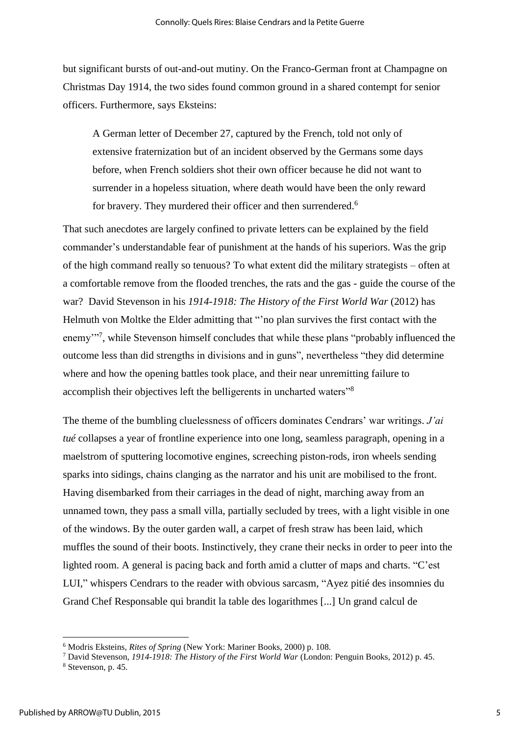but significant bursts of out-and-out mutiny. On the Franco-German front at Champagne on Christmas Day 1914, the two sides found common ground in a shared contempt for senior officers. Furthermore, says Eksteins:

A German letter of December 27, captured by the French, told not only of extensive fraternization but of an incident observed by the Germans some days before, when French soldiers shot their own officer because he did not want to surrender in a hopeless situation, where death would have been the only reward for bravery. They murdered their officer and then surrendered.<sup>6</sup>

That such anecdotes are largely confined to private letters can be explained by the field commander's understandable fear of punishment at the hands of his superiors. Was the grip of the high command really so tenuous? To what extent did the military strategists – often at a comfortable remove from the flooded trenches, the rats and the gas - guide the course of the war? David Stevenson in his *1914-1918: The History of the First World War* (2012) has Helmuth von Moltke the Elder admitting that "'no plan survives the first contact with the enemy"<sup>7</sup>, while Stevenson himself concludes that while these plans "probably influenced the outcome less than did strengths in divisions and in guns", nevertheless "they did determine where and how the opening battles took place, and their near unremitting failure to accomplish their objectives left the belligerents in uncharted waters"<sup>8</sup>

The theme of the bumbling cluelessness of officers dominates Cendrars' war writings. *J'ai tué* collapses a year of frontline experience into one long, seamless paragraph, opening in a maelstrom of sputtering locomotive engines, screeching piston-rods, iron wheels sending sparks into sidings, chains clanging as the narrator and his unit are mobilised to the front. Having disembarked from their carriages in the dead of night, marching away from an unnamed town, they pass a small villa, partially secluded by trees, with a light visible in one of the windows. By the outer garden wall, a carpet of fresh straw has been laid, which muffles the sound of their boots. Instinctively, they crane their necks in order to peer into the lighted room. A general is pacing back and forth amid a clutter of maps and charts. "C'est LUI," whispers Cendrars to the reader with obvious sarcasm, "Ayez pitié des insomnies du Grand Chef Responsable qui brandit la table des logarithmes [...] Un grand calcul de

<sup>6</sup> Modris Eksteins, *Rites of Spring* (New York: Mariner Books, 2000) p. 108.

<sup>7</sup> David Stevenson, *1914-1918: The History of the First World War* (London: Penguin Books, 2012) p. 45.

<sup>8</sup> Stevenson, p. 45.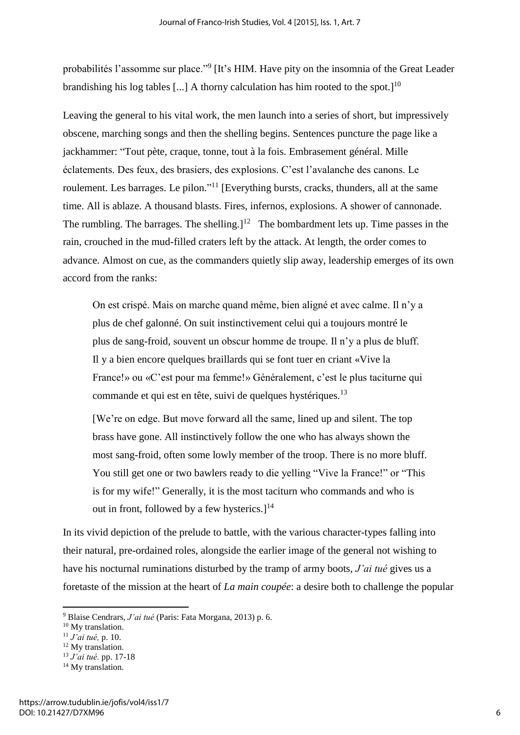probabilités l'assomme sur place."<sup>9</sup> [It's HIM. Have pity on the insomnia of the Great Leader brandishing his log tables [...] A thorny calculation has him rooted to the spot.]<sup>10</sup>

Leaving the general to his vital work, the men launch into a series of short, but impressively obscene, marching songs and then the shelling begins. Sentences puncture the page like a jackhammer: "Tout pète, craque, tonne, tout à la fois. Embrasement général. Mille éclatements. Des feux, des brasiers, des explosions. C'est l'avalanche des canons. Le roulement. Les barrages. Le pilon."<sup>11</sup> [Everything bursts, cracks, thunders, all at the same time. All is ablaze. A thousand blasts. Fires, infernos, explosions. A shower of cannonade. The rumbling. The barrages. The shelling.]<sup>12</sup> The bombardment lets up. Time passes in the rain, crouched in the mud-filled craters left by the attack. At length, the order comes to advance. Almost on cue, as the commanders quietly slip away, leadership emerges of its own accord from the ranks:

On est crispé. Mais on marche quand même, bien aligné et avec calme. Il n'y a plus de chef galonné. On suit instinctivement celui qui a toujours montré le plus de sang-froid, souvent un obscur homme de troupe. Il n'y a plus de bluff. Il y a bien encore quelques braillards qui se font tuer en criant «Vive la France!» ou «C'est pour ma femme!» Généralement, c'est le plus taciturne qui commande et qui est en tête, suivi de quelques hystériques.<sup>13</sup>

[We're on edge. But move forward all the same, lined up and silent. The top brass have gone. All instinctively follow the one who has always shown the most sang-froid, often some lowly member of the troop. There is no more bluff. You still get one or two bawlers ready to die yelling "Vive la France!" or "This is for my wife!" Generally, it is the most taciturn who commands and who is out in front, followed by a few hysterics. $]^{14}$ 

In its vivid depiction of the prelude to battle, with the various character-types falling into their natural, pre-ordained roles, alongside the earlier image of the general not wishing to have his nocturnal ruminations disturbed by the tramp of army boots, *J'ai tué* gives us a foretaste of the mission at the heart of *La main coupée*: a desire both to challenge the popular

<sup>9</sup> Blaise Cendrars, *J'ai tué* (Paris: Fata Morgana, 2013) p. 6.

<sup>&</sup>lt;sup>10</sup> My translation.

<sup>11</sup> *J'ai tué,* p. 10.

<sup>&</sup>lt;sup>12</sup> My translation.

<sup>13</sup> *J'ai tué.* pp. 17-18

<sup>&</sup>lt;sup>14</sup> My translation.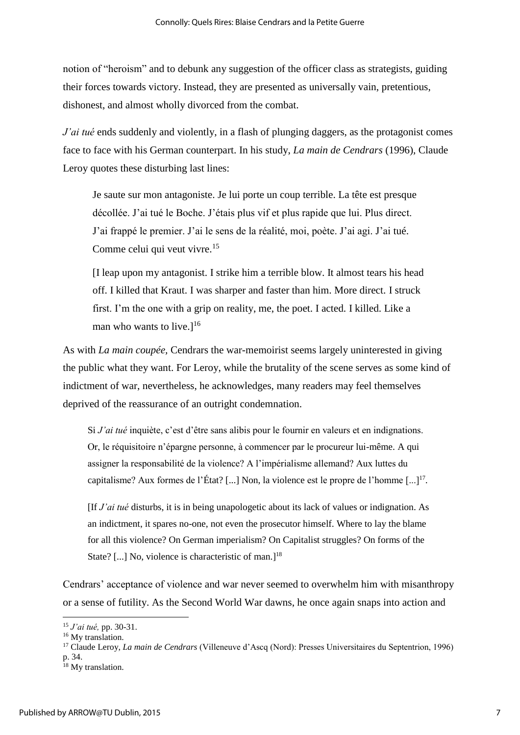notion of "heroism" and to debunk any suggestion of the officer class as strategists, guiding their forces towards victory. Instead, they are presented as universally vain, pretentious, dishonest, and almost wholly divorced from the combat.

*J'ai tué* ends suddenly and violently, in a flash of plunging daggers, as the protagonist comes face to face with his German counterpart. In his study, *La main de Cendrars* (1996), Claude Leroy quotes these disturbing last lines:

Je saute sur mon antagoniste. Je lui porte un coup terrible. La tête est presque décollée. J'ai tué le Boche. J'étais plus vif et plus rapide que lui. Plus direct. J'ai frappé le premier. J'ai le sens de la réalité, moi, poète. J'ai agi. J'ai tué. Comme celui qui veut vivre.<sup>15</sup>

[I leap upon my antagonist. I strike him a terrible blow. It almost tears his head off. I killed that Kraut. I was sharper and faster than him. More direct. I struck first. I'm the one with a grip on reality, me, the poet. I acted. I killed. Like a man who wants to live.]<sup>16</sup>

As with *La main coupée,* Cendrars the war-memoirist seems largely uninterested in giving the public what they want. For Leroy, while the brutality of the scene serves as some kind of indictment of war, nevertheless, he acknowledges, many readers may feel themselves deprived of the reassurance of an outright condemnation.

Si *J'ai tué* inquiète, c'est d'être sans alibis pour le fournir en valeurs et en indignations. Or, le réquisitoire n'épargne personne, à commencer par le procureur lui-même. A qui assigner la responsabilité de la violence? A l'impérialisme allemand? Aux luttes du capitalisme? Aux formes de l'État? [...] Non, la violence est le propre de l'homme [...]<sup>17</sup>.

[If *J'ai tué* disturbs, it is in being unapologetic about its lack of values or indignation. As an indictment, it spares no-one, not even the prosecutor himself. Where to lay the blame for all this violence? On German imperialism? On Capitalist struggles? On forms of the State? [...] No, violence is characteristic of man.]<sup>18</sup>

Cendrars' acceptance of violence and war never seemed to overwhelm him with misanthropy or a sense of futility. As the Second World War dawns, he once again snaps into action and

**.** 

<sup>15</sup> *J'ai tué,* pp. 30-31.

<sup>&</sup>lt;sup>16</sup> My translation.

<sup>17</sup> Claude Leroy, *La main de Cendrars* (Villeneuve d'Ascq (Nord): Presses Universitaires du Septentrion, 1996) p. 34.

 $18$  My translation.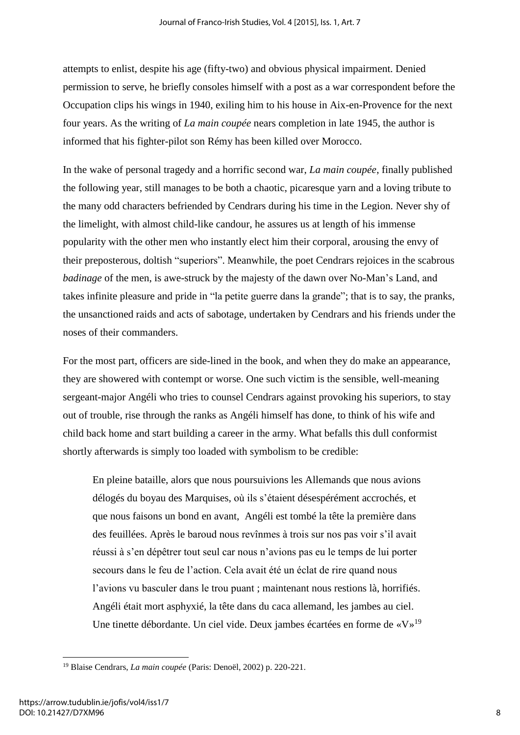attempts to enlist, despite his age (fifty-two) and obvious physical impairment. Denied permission to serve, he briefly consoles himself with a post as a war correspondent before the Occupation clips his wings in 1940, exiling him to his house in Aix-en-Provence for the next four years. As the writing of *La main coupée* nears completion in late 1945, the author is informed that his fighter-pilot son Rémy has been killed over Morocco.

In the wake of personal tragedy and a horrific second war, *La main coupée*, finally published the following year, still manages to be both a chaotic, picaresque yarn and a loving tribute to the many odd characters befriended by Cendrars during his time in the Legion. Never shy of the limelight, with almost child-like candour, he assures us at length of his immense popularity with the other men who instantly elect him their corporal, arousing the envy of their preposterous, doltish "superiors". Meanwhile, the poet Cendrars rejoices in the scabrous *badinage* of the men, is awe-struck by the majesty of the dawn over No-Man's Land, and takes infinite pleasure and pride in "la petite guerre dans la grande"; that is to say, the pranks, the unsanctioned raids and acts of sabotage, undertaken by Cendrars and his friends under the noses of their commanders.

For the most part, officers are side-lined in the book, and when they do make an appearance, they are showered with contempt or worse. One such victim is the sensible, well-meaning sergeant-major Angéli who tries to counsel Cendrars against provoking his superiors, to stay out of trouble, rise through the ranks as Angéli himself has done, to think of his wife and child back home and start building a career in the army. What befalls this dull conformist shortly afterwards is simply too loaded with symbolism to be credible:

En pleine bataille, alors que nous poursuivions les Allemands que nous avions délogés du boyau des Marquises, où ils s'étaient désespérément accrochés, et que nous faisons un bond en avant, Angéli est tombé la tête la première dans des feuillées. Après le baroud nous revînmes à trois sur nos pas voir s'il avait réussi à s'en dépêtrer tout seul car nous n'avions pas eu le temps de lui porter secours dans le feu de l'action. Cela avait été un éclat de rire quand nous l'avions vu basculer dans le trou puant ; maintenant nous restions là, horrifiés. Angéli était mort asphyxié, la tête dans du caca allemand, les jambes au ciel. Une tinette débordante. Un ciel vide. Deux jambes écartées en forme de «V»<sup>19</sup>

**.** 

<sup>19</sup> Blaise Cendrars, *La main coupée* (Paris: Denoël, 2002) p. 220-221.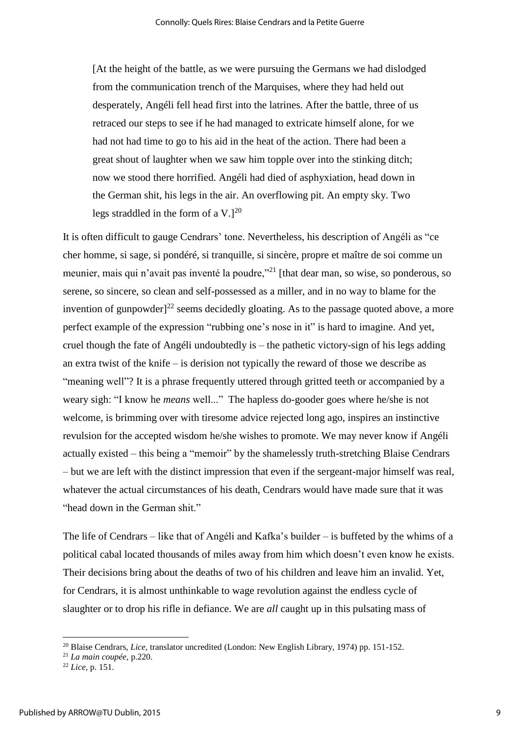[At the height of the battle, as we were pursuing the Germans we had dislodged from the communication trench of the Marquises, where they had held out desperately, Angéli fell head first into the latrines. After the battle, three of us retraced our steps to see if he had managed to extricate himself alone, for we had not had time to go to his aid in the heat of the action. There had been a great shout of laughter when we saw him topple over into the stinking ditch; now we stood there horrified. Angéli had died of asphyxiation, head down in the German shit, his legs in the air. An overflowing pit. An empty sky. Two legs straddled in the form of a V. $]^{20}$ 

It is often difficult to gauge Cendrars' tone. Nevertheless, his description of Angéli as "ce cher homme, si sage, si pondéré, si tranquille, si sincère, propre et maître de soi comme un meunier, mais qui n'avait pas inventé la poudre, <sup>221</sup> [that dear man, so wise, so ponderous, so serene, so sincere, so clean and self-possessed as a miller, and in no way to blame for the invention of gunpowder $]^{22}$  seems decidedly gloating. As to the passage quoted above, a more perfect example of the expression "rubbing one's nose in it" is hard to imagine. And yet, cruel though the fate of Angéli undoubtedly is – the pathetic victory-sign of his legs adding an extra twist of the knife – is derision not typically the reward of those we describe as "meaning well"? It is a phrase frequently uttered through gritted teeth or accompanied by a weary sigh: "I know he *means* well..." The hapless do-gooder goes where he/she is not welcome, is brimming over with tiresome advice rejected long ago, inspires an instinctive revulsion for the accepted wisdom he/she wishes to promote. We may never know if Angéli actually existed – this being a "memoir" by the shamelessly truth-stretching Blaise Cendrars – but we are left with the distinct impression that even if the sergeant-major himself was real, whatever the actual circumstances of his death, Cendrars would have made sure that it was "head down in the German shit."

The life of Cendrars – like that of Angéli and Kafka's builder – is buffeted by the whims of a political cabal located thousands of miles away from him which doesn't even know he exists. Their decisions bring about the deaths of two of his children and leave him an invalid. Yet, for Cendrars, it is almost unthinkable to wage revolution against the endless cycle of slaughter or to drop his rifle in defiance. We are *all* caught up in this pulsating mass of

<sup>20</sup> Blaise Cendrars, *Lice,* translator uncredited (London: New English Library, 1974) pp. 151-152.

<sup>21</sup> *La main coupée,* p.220.

<sup>22</sup> *Lice,* p. 151.